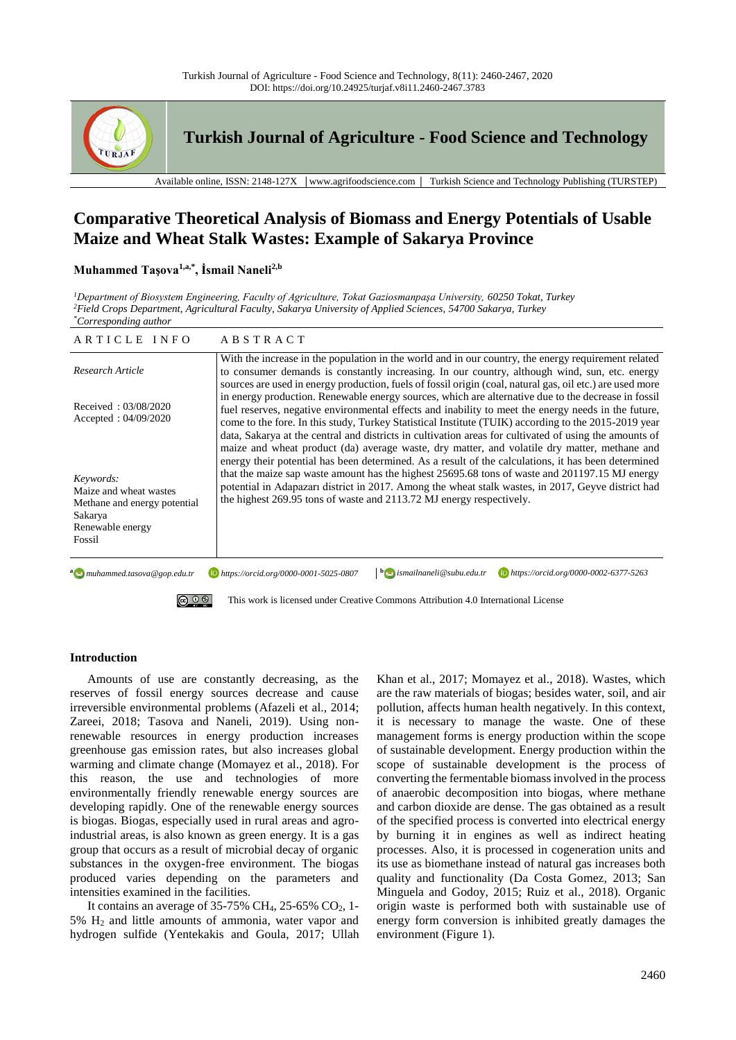

**Turkish Journal of Agriculture - Food Science and Technology**

Available online, ISSN: 2148-127X │www.agrifoodscience.com │ Turkish Science and Technology Publishing (TURSTEP)

# **Comparative Theoretical Analysis of Biomass and Energy Potentials of Usable Maize and Wheat Stalk Wastes: Example of Sakarya Province**

## **Muhammed Taşova1,a,\*, İsmail Naneli2,b**

*<sup>1</sup>Department of Biosystem Engineering, Faculty of Agriculture, Tokat Gaziosmanpaşa University, 60250 Tokat, Turkey <sup>2</sup>Field Crops Department, Agricultural Faculty, Sakarya University of Applied Sciences, 54700 Sakarya, Turkey \*Corresponding author*

| ARTICLE INFO                                                                                                 | <b>ABSTRACT</b>                                                                                                                                                                                                                                                                                                                                                                                                                                                                     |  |  |  |
|--------------------------------------------------------------------------------------------------------------|-------------------------------------------------------------------------------------------------------------------------------------------------------------------------------------------------------------------------------------------------------------------------------------------------------------------------------------------------------------------------------------------------------------------------------------------------------------------------------------|--|--|--|
| Research Article                                                                                             | With the increase in the population in the world and in our country, the energy requirement related<br>to consumer demands is constantly increasing. In our country, although wind, sun, etc. energy<br>sources are used in energy production, fuels of fossil origin (coal, natural gas, oil etc.) are used more                                                                                                                                                                   |  |  |  |
| Received: 03/08/2020<br>Accepted: $04/09/2020$                                                               | in energy production. Renewable energy sources, which are alternative due to the decrease in fossil<br>fuel reserves, negative environmental effects and inability to meet the energy needs in the future,<br>come to the fore. In this study, Turkey Statistical Institute (TUIK) according to the 2015-2019 year<br>data, Sakarya at the central and districts in cultivation areas for cultivated of using the amounts of                                                        |  |  |  |
| Keywords:<br>Maize and wheat wastes<br>Methane and energy potential<br>Sakarya<br>Renewable energy<br>Fossil | maize and wheat product (da) average waste, dry matter, and volatile dry matter, methane and<br>energy their potential has been determined. As a result of the calculations, it has been determined<br>that the maize sap waste amount has the highest 25695.68 tons of waste and 201197.15 MJ energy<br>potential in Adapazarı district in 2017. Among the wheat stalk wastes, in 2017, Geyve district had<br>the highest 269.95 tons of waste and 2113.72 MJ energy respectively. |  |  |  |
| a muhammed.tasova@gop.edu.tr<br><u>(၀) () (၃)</u>                                                            | $\mathbf{b}$ ismailnaneli@subu.edu.tr<br>https://orcid.org/0000-0002-6377-5263<br>https://orcid.org/0000-0001-5025-0807<br>This work is licensed under Creative Commons Attribution 4.0 International License                                                                                                                                                                                                                                                                       |  |  |  |

## **Introduction**

Amounts of use are constantly decreasing, as the reserves of fossil energy sources decrease and cause irreversible environmental problems (Afazeli et al., 2014; Zareei, 2018; Tasova and Naneli, 2019). Using nonrenewable resources in energy production increases greenhouse gas emission rates, but also increases global warming and climate change (Momayez et al., 2018). For this reason, the use and technologies of more environmentally friendly renewable energy sources are developing rapidly. One of the renewable energy sources is biogas. Biogas, especially used in rural areas and agroindustrial areas, is also known as green energy. It is a gas group that occurs as a result of microbial decay of organic substances in the oxygen-free environment. The biogas produced varies depending on the parameters and intensities examined in the facilities.

It contains an average of  $35-75\%$  CH<sub>4</sub>,  $25-65\%$  CO<sub>2</sub>, 1-5% H<sup>2</sup> and little amounts of ammonia, water vapor and hydrogen sulfide (Yentekakis and Goula, 2017; Ullah

Khan et al., 2017; Momayez et al., 2018). Wastes, which are the raw materials of biogas; besides water, soil, and air pollution, affects human health negatively. In this context, it is necessary to manage the waste. One of these management forms is energy production within the scope of sustainable development. Energy production within the scope of sustainable development is the process of converting the fermentable biomass involved in the process of anaerobic decomposition into biogas, where methane and carbon dioxide are dense. The gas obtained as a result of the specified process is converted into electrical energy by burning it in engines as well as indirect heating processes. Also, it is processed in cogeneration units and its use as biomethane instead of natural gas increases both quality and functionality (Da Costa Gomez, 2013; San Minguela and Godoy, 2015; Ruiz et al., 2018). Organic origin waste is performed both with sustainable use of energy form conversion is inhibited greatly damages the environment (Figure 1).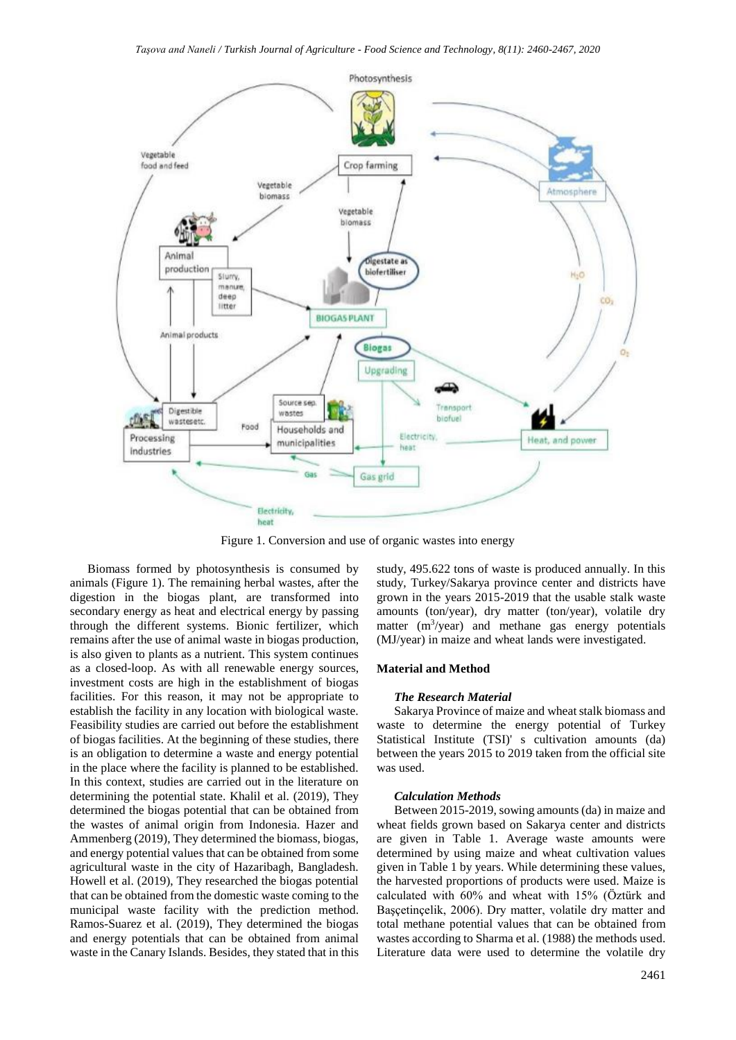

Figure 1. Conversion and use of organic wastes into energy

Biomass formed by photosynthesis is consumed by animals (Figure 1). The remaining herbal wastes, after the digestion in the biogas plant, are transformed into secondary energy as heat and electrical energy by passing through the different systems. Bionic fertilizer, which remains after the use of animal waste in biogas production, is also given to plants as a nutrient. This system continues as a closed-loop. As with all renewable energy sources, investment costs are high in the establishment of biogas facilities. For this reason, it may not be appropriate to establish the facility in any location with biological waste. Feasibility studies are carried out before the establishment of biogas facilities. At the beginning of these studies, there is an obligation to determine a waste and energy potential in the place where the facility is planned to be established. In this context, studies are carried out in the literature on determining the potential state. Khalil et al. (2019), They determined the biogas potential that can be obtained from the wastes of animal origin from Indonesia. Hazer and Ammenberg (2019), They determined the biomass, biogas, and energy potential values that can be obtained from some agricultural waste in the city of Hazaribagh, Bangladesh. Howell et al. (2019), They researched the biogas potential that can be obtained from the domestic waste coming to the municipal waste facility with the prediction method. Ramos-Suarez et al. (2019), They determined the biogas and energy potentials that can be obtained from animal waste in the Canary Islands. Besides, they stated that in this

study, 495.622 tons of waste is produced annually. In this study, Turkey/Sakarya province center and districts have grown in the years 2015-2019 that the usable stalk waste amounts (ton/year), dry matter (ton/year), volatile dry matter  $(m^3$ /year) and methane gas energy potentials (MJ/year) in maize and wheat lands were investigated.

### **Material and Method**

#### *The Research Material*

Sakarya Province of maize and wheat stalk biomass and waste to determine the energy potential of Turkey Statistical Institute (TSI)' s cultivation amounts (da) between the years 2015 to 2019 taken from the official site was used.

#### *Calculation Methods*

Between 2015-2019, sowing amounts (da) in maize and wheat fields grown based on Sakarya center and districts are given in Table 1. Average waste amounts were determined by using maize and wheat cultivation values given in Table 1 by years. While determining these values, the harvested proportions of products were used. Maize is calculated with 60% and wheat with 15% (Öztürk and Başçetinçelik, 2006). Dry matter, volatile dry matter and total methane potential values that can be obtained from wastes according to Sharma et al. (1988) the methods used. Literature data were used to determine the volatile dry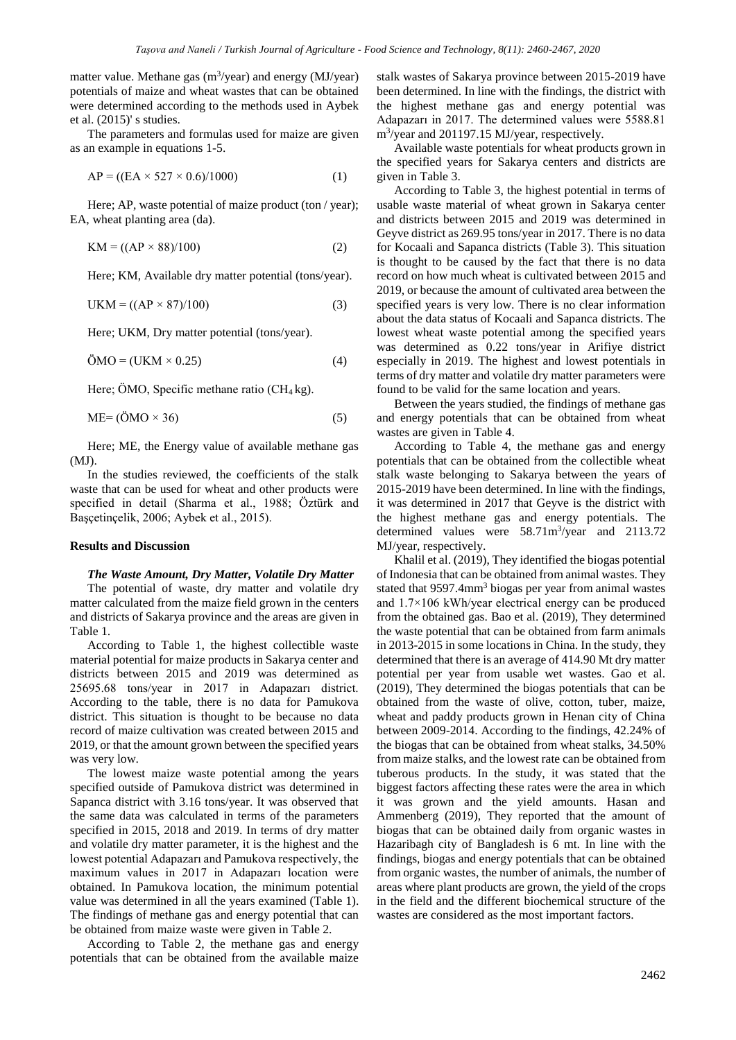matter value. Methane gas  $(m^3$ /year) and energy (MJ/year) potentials of maize and wheat wastes that can be obtained were determined according to the methods used in Aybek et al. (2015)' s studies.

The parameters and formulas used for maize are given as an example in equations 1-5.

$$
AP = ((EA \times 527 \times 0.6)/1000)
$$
 (1)

Here; AP, waste potential of maize product (ton / year); EA, wheat planting area (da).

$$
KM = ((AP \times 88)/100) \tag{2}
$$

Here; KM, Available dry matter potential (tons/year).

$$
UKM = ((AP \times 87)/100)
$$
\n(3)

Here; UKM, Dry matter potential (tons/year).

$$
\ddot{\text{OMO}} = (\text{UKM} \times 0.25) \tag{4}
$$

Here; ÖMO, Specific methane ratio  $(CH_4kg)$ .

$$
ME = (\ddot{O}MO \times 36) \tag{5}
$$

Here; ME, the Energy value of available methane gas  $(MI)$ .

In the studies reviewed, the coefficients of the stalk waste that can be used for wheat and other products were specified in detail (Sharma et al., 1988; Öztürk and Başçetinçelik, 2006; Aybek et al., 2015).

## **Results and Discussion**

#### *The Waste Amount, Dry Matter, Volatile Dry Matter*

The potential of waste, dry matter and volatile dry matter calculated from the maize field grown in the centers and districts of Sakarya province and the areas are given in Table 1.

According to Table 1, the highest collectible waste material potential for maize products in Sakarya center and districts between 2015 and 2019 was determined as 25695.68 tons/year in 2017 in Adapazarı district. According to the table, there is no data for Pamukova district. This situation is thought to be because no data record of maize cultivation was created between 2015 and 2019, or that the amount grown between the specified years was very low.

The lowest maize waste potential among the years specified outside of Pamukova district was determined in Sapanca district with 3.16 tons/year. It was observed that the same data was calculated in terms of the parameters specified in 2015, 2018 and 2019. In terms of dry matter and volatile dry matter parameter, it is the highest and the lowest potential Adapazarı and Pamukova respectively, the maximum values in 2017 in Adapazarı location were obtained. In Pamukova location, the minimum potential value was determined in all the years examined (Table 1). The findings of methane gas and energy potential that can be obtained from maize waste were given in Table 2.

According to Table 2, the methane gas and energy potentials that can be obtained from the available maize stalk wastes of Sakarya province between 2015-2019 have been determined. In line with the findings, the district with the highest methane gas and energy potential was Adapazarı in 2017. The determined values were 5588.81 m<sup>3</sup> /year and 201197.15 MJ/year, respectively.

Available waste potentials for wheat products grown in the specified years for Sakarya centers and districts are given in Table 3.

According to Table 3, the highest potential in terms of usable waste material of wheat grown in Sakarya center and districts between 2015 and 2019 was determined in Geyve district as 269.95 tons/year in 2017. There is no data for Kocaali and Sapanca districts (Table 3). This situation is thought to be caused by the fact that there is no data record on how much wheat is cultivated between 2015 and 2019, or because the amount of cultivated area between the specified years is very low. There is no clear information about the data status of Kocaali and Sapanca districts. The lowest wheat waste potential among the specified years was determined as 0.22 tons/year in Arifiye district especially in 2019. The highest and lowest potentials in terms of dry matter and volatile dry matter parameters were found to be valid for the same location and years.

Between the years studied, the findings of methane gas and energy potentials that can be obtained from wheat wastes are given in Table 4.

According to Table 4, the methane gas and energy potentials that can be obtained from the collectible wheat stalk waste belonging to Sakarya between the years of 2015-2019 have been determined. In line with the findings, it was determined in 2017 that Geyve is the district with the highest methane gas and energy potentials. The determined values were 58.71m<sup>3</sup>/year and 2113.72 MJ/year, respectively.

Khalil et al. (2019), They identified the biogas potential of Indonesia that can be obtained from animal wastes. They stated that 9597.4mm<sup>3</sup> biogas per year from animal wastes and 1.7×106 kWh/year electrical energy can be produced from the obtained gas. Bao et al. (2019), They determined the waste potential that can be obtained from farm animals in 2013-2015 in some locations in China. In the study, they determined that there is an average of 414.90 Mt dry matter potential per year from usable wet wastes. Gao et al. (2019), They determined the biogas potentials that can be obtained from the waste of olive, cotton, tuber, maize, wheat and paddy products grown in Henan city of China between 2009-2014. According to the findings, 42.24% of the biogas that can be obtained from wheat stalks, 34.50% from maize stalks, and the lowest rate can be obtained from tuberous products. In the study, it was stated that the biggest factors affecting these rates were the area in which it was grown and the yield amounts. Hasan and Ammenberg (2019), They reported that the amount of biogas that can be obtained daily from organic wastes in Hazaribagh city of Bangladesh is 6 mt. In line with the findings, biogas and energy potentials that can be obtained from organic wastes, the number of animals, the number of areas where plant products are grown, the yield of the crops in the field and the different biochemical structure of the wastes are considered as the most important factors.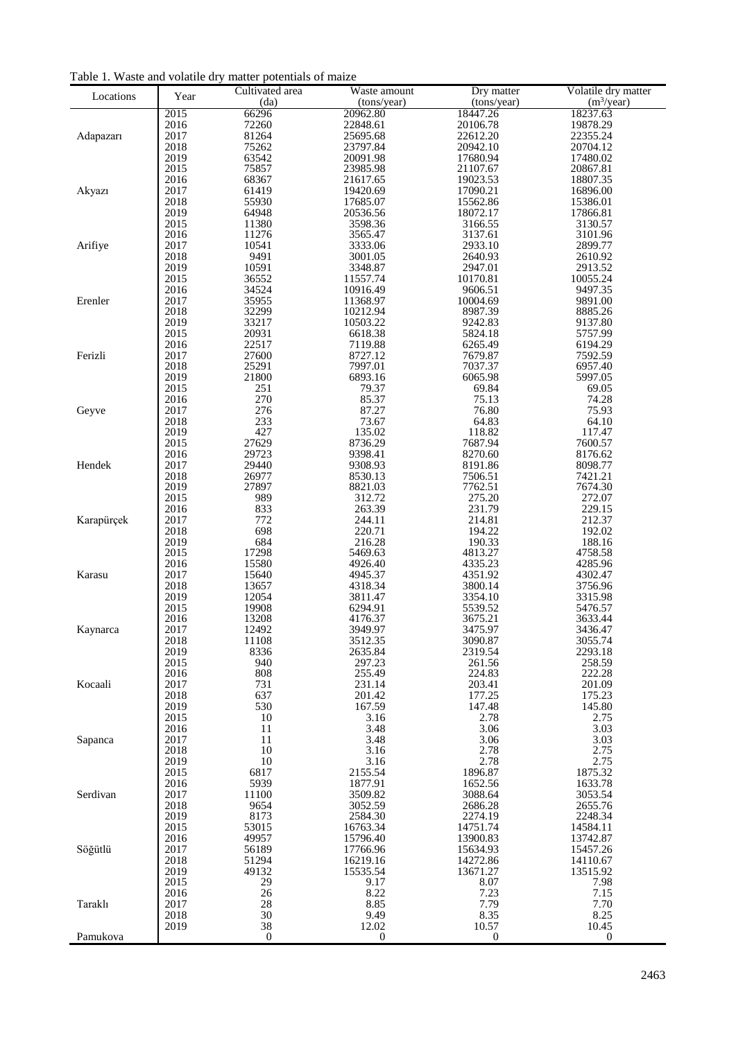|                |              | $\cdots$ powered<br>Cultivated area | Waste amount         | Dry matter           | Volatile dry matter  |
|----------------|--------------|-------------------------------------|----------------------|----------------------|----------------------|
| Locations      | Year         | (da)                                | (tons/year)          | (tons/year)          | $(m^3$ /year)        |
|                | 2015         | 66296                               | 20962.80             | 18447.26             | 18237.63             |
|                | 2016         | 72260                               | 22848.61             | 20106.78             | 19878.29             |
| Adapazarı      | 2017         | 81264                               | 25695.68             | 22612.20             | 22355.24             |
|                | 2018         | 75262                               | 23797.84             | 20942.10             | 20704.12             |
|                | 2019         | 63542                               | 20091.98             | 17680.94             | 17480.02             |
|                | 2015         | 75857                               | 23985.98             | 21107.67             | 20867.81             |
|                | 2016         | 68367                               | 21617.65             | 19023.53             | 18807.35             |
| Akyazı         | 2017<br>2018 | 61419<br>55930                      | 19420.69<br>17685.07 | 17090.21<br>15562.86 | 16896.00<br>15386.01 |
|                | 2019         | 64948                               | 20536.56             | 18072.17             | 17866.81             |
|                | 2015         | 11380                               | 3598.36              | 3166.55              | 3130.57              |
|                | 2016         | 11276                               | 3565.47              | 3137.61              | 3101.96              |
| Arifiye        | 2017         | 10541                               | 3333.06              | 2933.10              | 2899.77              |
|                | 2018         | 9491                                | 3001.05              | 2640.93              | 2610.92              |
|                | 2019         | 10591                               | 3348.87              | 2947.01              | 2913.52              |
|                | 2015         | 36552                               | 11557.74             | 10170.81             | 10055.24             |
|                | 2016         | 34524                               | 10916.49             | 9606.51              | 9497.35              |
| Erenler        | 2017<br>2018 | 35955<br>32299                      | 11368.97<br>10212.94 | 10004.69<br>8987.39  | 9891.00<br>8885.26   |
|                | 2019         | 33217                               | 10503.22             | 9242.83              | 9137.80              |
|                | 2015         | 20931                               | 6618.38              | 5824.18              | 5757.99              |
|                | 2016         | 22517                               | 7119.88              | 6265.49              | 6194.29              |
| Ferizli        | 2017         | 27600                               | 8727.12              | 7679.87              | 7592.59              |
|                | 2018         | 25291                               | 7997.01              | 7037.37              | 6957.40              |
|                | 2019         | 21800                               | 6893.16              | 6065.98              | 5997.05              |
|                | 2015         | 251                                 | 79.37                | 69.84                | 69.05                |
| Geyve          | 2016<br>2017 | 270<br>276                          | 85.37<br>87.27       | 75.13<br>76.80       | 74.28<br>75.93       |
|                | 2018         | 233                                 | 73.67                | 64.83                | 64.10                |
|                | 2019         | 427                                 | 135.02               | 118.82               | 117.47               |
|                | 2015         | 27629                               | 8736.29              | 7687.94              | 7600.57              |
|                | 2016         | 29723                               | 9398.41              | 8270.60              | 8176.62              |
| Hendek         | 2017         | 29440                               | 9308.93              | 8191.86              | 8098.77              |
|                | 2018         | 26977                               | 8530.13              | 7506.51              | 7421.21              |
|                | 2019         | 27897                               | 8821.03              | 7762.51              | 7674.30              |
|                | 2015         | 989<br>833                          | 312.72               | 275.20               | 272.07               |
| Karapürçek     | 2016<br>2017 | 772                                 | 263.39<br>244.11     | 231.79<br>214.81     | 229.15<br>212.37     |
|                | 2018         | 698                                 | 220.71               | 194.22               | 192.02               |
|                | 2019         | 684                                 | 216.28               | 190.33               | 188.16               |
|                | 2015         | 17298                               | 5469.63              | 4813.27              | 4758.58              |
|                | 2016         | 15580                               | 4926.40              | 4335.23              | 4285.96              |
| Karasu         | 2017         | 15640                               | 4945.37              | 4351.92              | 4302.47              |
|                | 2018         | 13657                               | 4318.34              | 3800.14              | 3756.96              |
|                | 2019<br>2015 | 12054<br>19908                      | 3811.47<br>6294.91   | 3354.10<br>5539.52   | 3315.98<br>5476.57   |
|                | 2016         | 13208                               | 4176.37              | 3675.21              | 3633.44              |
| Kaynarca       | 2017         | 12492                               | 3949.97              | 3475.97              | 3436.47              |
|                | 2018         | 11108                               | 3512.35              | 3090.87              | 3055.74              |
|                | 2019         | 8336                                | 2635.84              | 2319.54              | 2293.18              |
|                | 2015         | 940                                 | 297.23               | 261.56               | 258.59               |
|                | 2016         | 808                                 | 255.49               | 224.83               | 222.28               |
| Kocaali        | 2017<br>2018 | 731<br>637                          | 231.14<br>201.42     | 203.41<br>177.25     | 201.09<br>175.23     |
|                | 2019         | 530                                 | 167.59               | 147.48               | 145.80               |
|                | 2015         | 10                                  | 3.16                 | 2.78                 | 2.75                 |
|                | 2016         | 11                                  | 3.48                 | 3.06                 | 3.03                 |
| Sapanca        | 2017         | 11                                  | 3.48                 | 3.06                 | 3.03                 |
|                | 2018         | 10                                  | 3.16                 | 2.78                 | 2.75                 |
|                | 2019         | 10                                  | 3.16                 | 2.78                 | 2.75                 |
|                | 2015         | 6817                                | 2155.54              | 1896.87              | 1875.32              |
| Serdivan       | 2016<br>2017 | 5939<br>11100                       | 1877.91<br>3509.82   | 1652.56<br>3088.64   | 1633.78<br>3053.54   |
|                | 2018         | 9654                                | 3052.59              | 2686.28              | 2655.76              |
|                | 2019         | 8173                                | 2584.30              | 2274.19              | 2248.34              |
|                | 2015         | 53015                               | 16763.34             | 14751.74             | 14584.11             |
|                | 2016         | 49957                               | 15796.40             | 13900.83             | 13742.87             |
| Söğütlü        | 2017         | 56189                               | 17766.96             | 15634.93             | 15457.26             |
|                | 2018         | 51294                               | 16219.16             | 14272.86             | 14110.67             |
|                | 2019         | 49132                               | 15535.54             | 13671.27             | 13515.92             |
|                | 2015<br>2016 | 29<br>26                            | 9.17<br>8.22         | 8.07<br>7.23         | 7.98<br>7.15         |
| <b>Taraklı</b> | 2017         | 28                                  | 8.85                 | 7.79                 | 7.70                 |
|                | 2018         | 30                                  | 9.49                 | 8.35                 | 8.25                 |
|                | 2019         | 38                                  | 12.02                | 10.57                | 10.45                |
| Pamukova       |              | $\mathbf{0}$                        | $\boldsymbol{0}$     | $\boldsymbol{0}$     | $\mathbf{0}$         |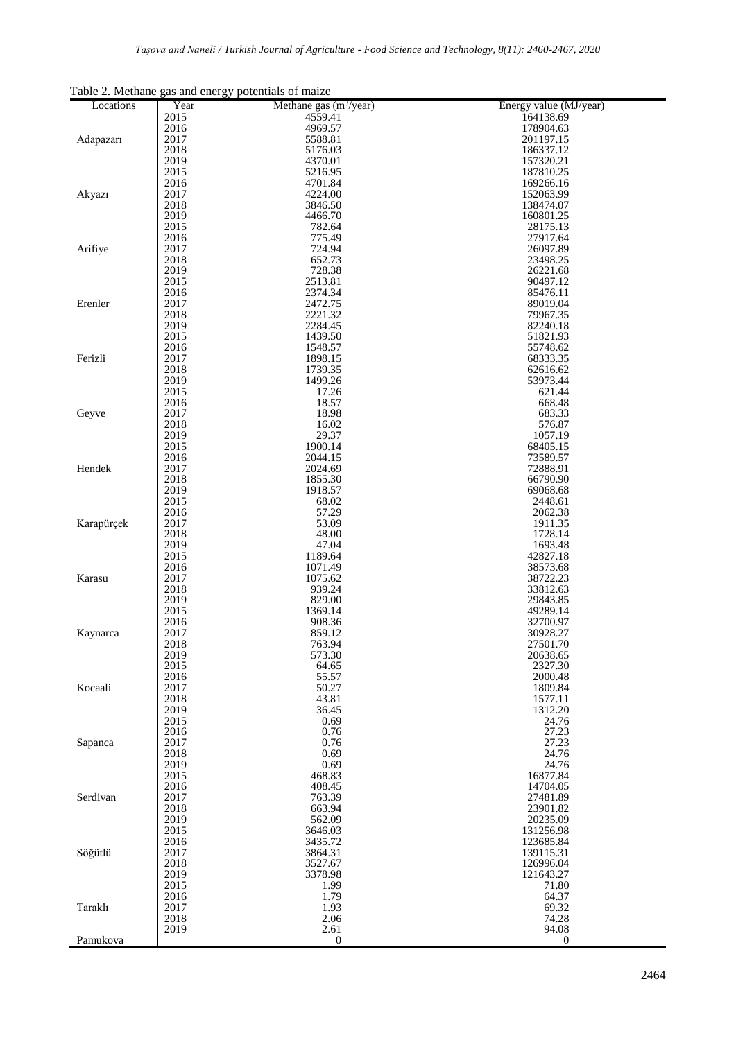|  | Table 2. Methane gas and energy potentials of maize |  |
|--|-----------------------------------------------------|--|
|  |                                                     |  |

| Locations  | Year         | Methane gas $(m^3$ /year) | Energy value (MJ/year) |
|------------|--------------|---------------------------|------------------------|
|            | 2015         | 4559.41                   | 164138.69              |
|            | 2016         | 4969.57                   | 178904.63              |
| Adapazarı  | 2017         | 5588.81                   | 201197.15              |
|            | 2018<br>2019 | 5176.03<br>4370.01        | 186337.12<br>157320.21 |
|            | 2015         | 5216.95                   | 187810.25              |
|            | 2016         | 4701.84                   | 169266.16              |
| Akyazı     | 2017         | 4224.00                   | 152063.99              |
|            | 2018         | 3846.50                   | 138474.07              |
|            | 2019         | 4466.70                   | 160801.25              |
|            | 2015         | 782.64                    | 28175.13               |
| Arifiye    | 2016<br>2017 | 775.49<br>724.94          | 27917.64<br>26097.89   |
|            | 2018         | 652.73                    | 23498.25               |
|            | 2019         | 728.38                    | 26221.68               |
|            | 2015         | 2513.81                   | 90497.12               |
|            | 2016         | 2374.34                   | 85476.11               |
| Erenler    | 2017         | 2472.75                   | 89019.04               |
|            | 2018<br>2019 | 2221.32<br>2284.45        | 79967.35<br>82240.18   |
|            | 2015         | 1439.50                   | 51821.93               |
|            | 2016         | 1548.57                   | 55748.62               |
| Ferizli    | 2017         | 1898.15                   | 68333.35               |
|            | 2018         | 1739.35                   | 62616.62               |
|            | 2019         | 1499.26                   | 53973.44               |
|            | 2015<br>2016 | 17.26<br>18.57            | 621.44<br>668.48       |
| Geyve      | 2017         | 18.98                     | 683.33                 |
|            | 2018         | 16.02                     | 576.87                 |
|            | 2019         | 29.37                     | 1057.19                |
|            | 2015         | 1900.14                   | 68405.15               |
|            | 2016         | 2044.15                   | 73589.57               |
| Hendek     | 2017<br>2018 | 2024.69<br>1855.30        | 72888.91<br>66790.90   |
|            | 2019         | 1918.57                   | 69068.68               |
|            | 2015         | 68.02                     | 2448.61                |
|            | 2016         | 57.29                     | 2062.38                |
| Karapürçek | 2017         | 53.09                     | 1911.35                |
|            | 2018         | 48.00                     | 1728.14                |
|            | 2019<br>2015 | 47.04<br>1189.64          | 1693.48<br>42827.18    |
|            | 2016         | 1071.49                   | 38573.68               |
| Karasu     | 2017         | 1075.62                   | 38722.23               |
|            | 2018         | 939.24                    | 33812.63               |
|            | 2019         | 829.00                    | 29843.85               |
|            | 2015         | 1369.14                   | 49289.14               |
| Kaynarca   | 2016<br>2017 | 908.36<br>859.12          | 32700.97<br>30928.27   |
|            | 2018         | 763.94                    | 27501.70               |
|            | 2019         | 573.30                    | 20638.65               |
|            | 2015         | 64.65                     | 2327.30                |
|            | 2016         | 55.57                     | 2000.48                |
| Kocaali    | 2017<br>2018 | 50.27<br>43.81            | 1809.84<br>1577.11     |
|            | 2019         | 36.45                     | 1312.20                |
|            | 2015         | 0.69                      | 24.76                  |
|            | 2016         | 0.76                      | 27.23                  |
| Sapanca    | 2017         | 0.76                      | 27.23                  |
|            | 2018         | 0.69                      | 24.76                  |
|            | 2019<br>2015 | 0.69<br>468.83            | 24.76<br>16877.84      |
| Serdivan   | 2016         | 408.45                    | 14704.05               |
|            | 2017         | 763.39                    | 27481.89               |
|            | 2018         | 663.94                    | 23901.82               |
|            | 2019         | 562.09                    | 20235.09               |
| Söğütlü    | 2015         | 3646.03                   | 131256.98              |
|            | 2016         | 3435.72                   | 123685.84              |
|            | 2017<br>2018 | 3864.31<br>3527.67        | 139115.31<br>126996.04 |
|            | 2019         | 3378.98                   | 121643.27              |
|            | 2015         | 1.99                      | 71.80                  |
|            | 2016         | 1.79                      | 64.37                  |
| Taraklı    | 2017         | 1.93                      | 69.32                  |
|            | 2018<br>2019 | 2.06<br>2.61              | 74.28<br>94.08         |
| Pamukova   |              | $\boldsymbol{0}$          | $\boldsymbol{0}$       |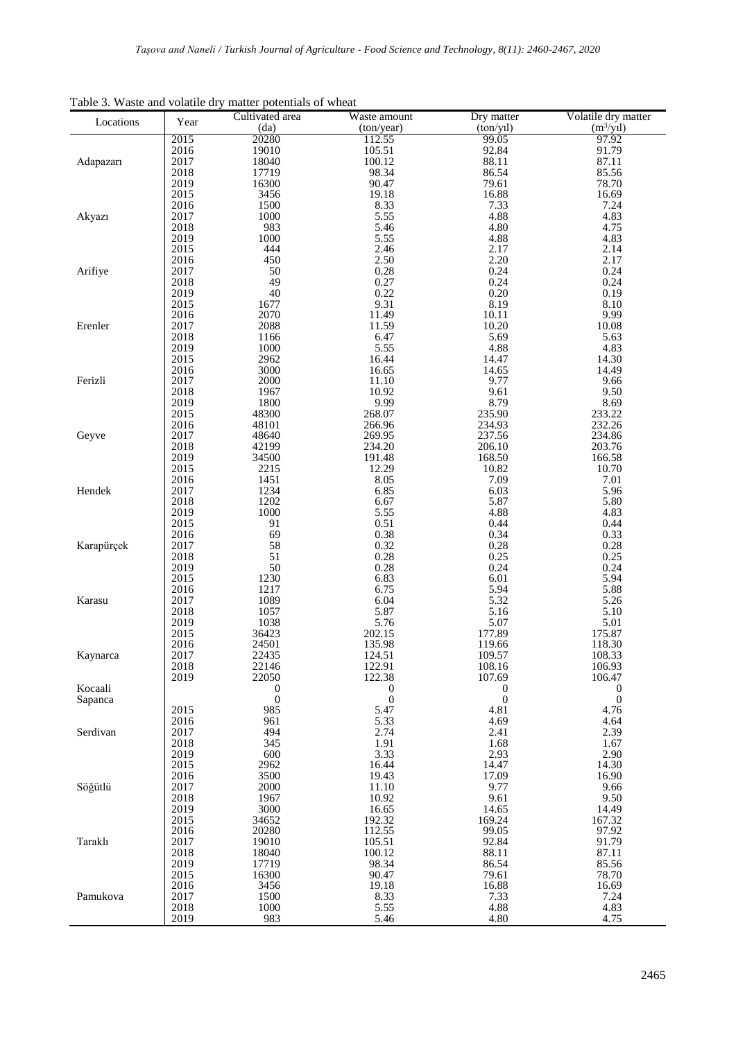| raone 5. Waste and volume of y<br>Locations | Year         | matter potentials of wheat<br>Cultivated area | Waste amount     | Dry matter       | Volatile dry matter |
|---------------------------------------------|--------------|-----------------------------------------------|------------------|------------------|---------------------|
|                                             |              | (da)                                          | (ton/year)       | (ton/y1)         | $(m^3$ /yil)        |
|                                             | 2015         | 20280                                         | 112.55           | 99.05            | 97.92               |
|                                             | 2016         | 19010                                         | 105.51           | 92.84            | 91.79               |
| Adapazarı                                   | 2017<br>2018 | 18040<br>17719                                | 100.12<br>98.34  | 88.11<br>86.54   | 87.11<br>85.56      |
|                                             | 2019         | 16300                                         | 90.47            | 79.61            | 78.70               |
|                                             | 2015         | 3456                                          | 19.18            | 16.88            | 16.69               |
|                                             | 2016         | 1500                                          | 8.33             | 7.33             | 7.24                |
| Akyazı                                      | 2017         | 1000                                          | 5.55             | 4.88             | 4.83                |
|                                             | 2018         | 983                                           | 5.46             | 4.80             | 4.75                |
|                                             | 2019         | 1000                                          | 5.55             | 4.88             | 4.83                |
|                                             | 2015<br>2016 | 444<br>450                                    | 2.46<br>2.50     | 2.17<br>2.20     | 2.14<br>2.17        |
| Arifiye                                     | 2017         | 50                                            | 0.28             | 0.24             | 0.24                |
|                                             | 2018         | 49                                            | 0.27             | 0.24             | 0.24                |
|                                             | 2019         | 40                                            | 0.22             | 0.20             | 0.19                |
|                                             | 2015         | 1677                                          | 9.31             | 8.19             | 8.10                |
|                                             | 2016         | 2070                                          | 11.49            | 10.11            | 9.99                |
| Erenler                                     | 2017         | 2088                                          | 11.59            | 10.20            | 10.08               |
|                                             | 2018<br>2019 | 1166<br>1000                                  | 6.47<br>5.55     | 5.69<br>4.88     | 5.63<br>4.83        |
|                                             | 2015         | 2962                                          | 16.44            | 14.47            | 14.30               |
|                                             | 2016         | 3000                                          | 16.65            | 14.65            | 14.49               |
| Ferizli                                     | 2017         | 2000                                          | 11.10            | 9.77             | 9.66                |
|                                             | 2018         | 1967                                          | 10.92            | 9.61             | 9.50                |
|                                             | 2019         | 1800                                          | 9.99             | 8.79             | 8.69                |
|                                             | 2015         | 48300                                         | 268.07           | 235.90           | 233.22              |
| Geyve                                       | 2016<br>2017 | 48101<br>48640                                | 266.96<br>269.95 | 234.93<br>237.56 | 232.26<br>234.86    |
|                                             | 2018         | 42199                                         | 234.20           | 206.10           | 203.76              |
|                                             | 2019         | 34500                                         | 191.48           | 168.50           | 166.58              |
|                                             | 2015         | 2215                                          | 12.29            | 10.82            | 10.70               |
|                                             | 2016         | 1451                                          | 8.05             | 7.09             | 7.01                |
| Hendek                                      | 2017<br>2018 | 1234<br>1202                                  | 6.85<br>6.67     | 6.03<br>5.87     | 5.96<br>5.80        |
|                                             | 2019         | 1000                                          | 5.55             | 4.88             | 4.83                |
|                                             | 2015         | 91                                            | 0.51             | 0.44             | 0.44                |
|                                             | 2016         | 69                                            | 0.38             | 0.34             | 0.33                |
| Karapürçek                                  | 2017         | 58                                            | 0.32             | 0.28             | 0.28                |
|                                             | 2018         | 51                                            | 0.28             | 0.25             | 0.25                |
|                                             | 2019         | 50                                            | 0.28             | 0.24             | 0.24                |
|                                             | 2015<br>2016 | 1230<br>1217                                  | 6.83<br>6.75     | 6.01<br>5.94     | 5.94<br>5.88        |
| Karasu                                      | 2017         | 1089                                          | 6.04             | 5.32             | 5.26                |
|                                             | 2018         | 1057                                          | 5.87             | 5.16             | 5.10                |
|                                             | 2019         | 1038                                          | 5.76             | 5.07             | 5.01                |
|                                             | 2015         | 36423                                         | 202.15           | 177.89           | 175.87              |
|                                             | 2016         | 24501                                         | 135.98           | 119.66           | 118.30              |
| Kaynarca                                    | 2017<br>2018 | 22435<br>22146                                | 124.51<br>122.91 | 109.57<br>108.16 | 108.33<br>106.93    |
|                                             | 2019         | 22050                                         | 122.38           | 107.69           | 106.47              |
| Kocaali                                     |              | $\boldsymbol{0}$                              | $\boldsymbol{0}$ | $\boldsymbol{0}$ | $\boldsymbol{0}$    |
| Sapanca                                     |              | $\boldsymbol{0}$                              | $\boldsymbol{0}$ | $\boldsymbol{0}$ | $\boldsymbol{0}$    |
|                                             | 2015         | 985                                           | 5.47             | 4.81             | 4.76                |
|                                             | 2016         | 961                                           | 5.33             | 4.69             | 4.64                |
| Serdivan                                    | 2017<br>2018 | 494<br>345                                    | 2.74<br>1.91     | 2.41<br>1.68     | 2.39<br>1.67        |
|                                             | 2019         | 600                                           | 3.33             | 2.93             | 2.90                |
|                                             | 2015         | 2962                                          | 16.44            | 14.47            | 14.30               |
|                                             | 2016         | 3500                                          | 19.43            | 17.09            | 16.90               |
| Söğütlü                                     | 2017         | 2000                                          | 11.10            | 9.77             | 9.66                |
|                                             | 2018         | 1967                                          | 10.92            | 9.61             | 9.50                |
|                                             | 2019<br>2015 | 3000<br>34652                                 | 16.65<br>192.32  | 14.65<br>169.24  | 14.49<br>167.32     |
|                                             | 2016         | 20280                                         | 112.55           | 99.05            | 97.92               |
| Taraklı                                     | 2017         | 19010                                         | 105.51           | 92.84            | 91.79               |
|                                             | 2018         | 18040                                         | 100.12           | 88.11            | 87.11               |
|                                             | 2019         | 17719                                         | 98.34            | 86.54            | 85.56               |
|                                             | 2015         | 16300                                         | 90.47            | 79.61            | 78.70               |
| Pamukova                                    | 2016<br>2017 | 3456<br>1500                                  | 19.18<br>8.33    | 16.88<br>7.33    | 16.69<br>7.24       |
|                                             | 2018         | 1000                                          | 5.55             | 4.88             | 4.83                |
|                                             | 2019         | 983                                           | 5.46             | 4.80             | 4.75                |

Table 3. Waste and volatile dry matter potentials of wheat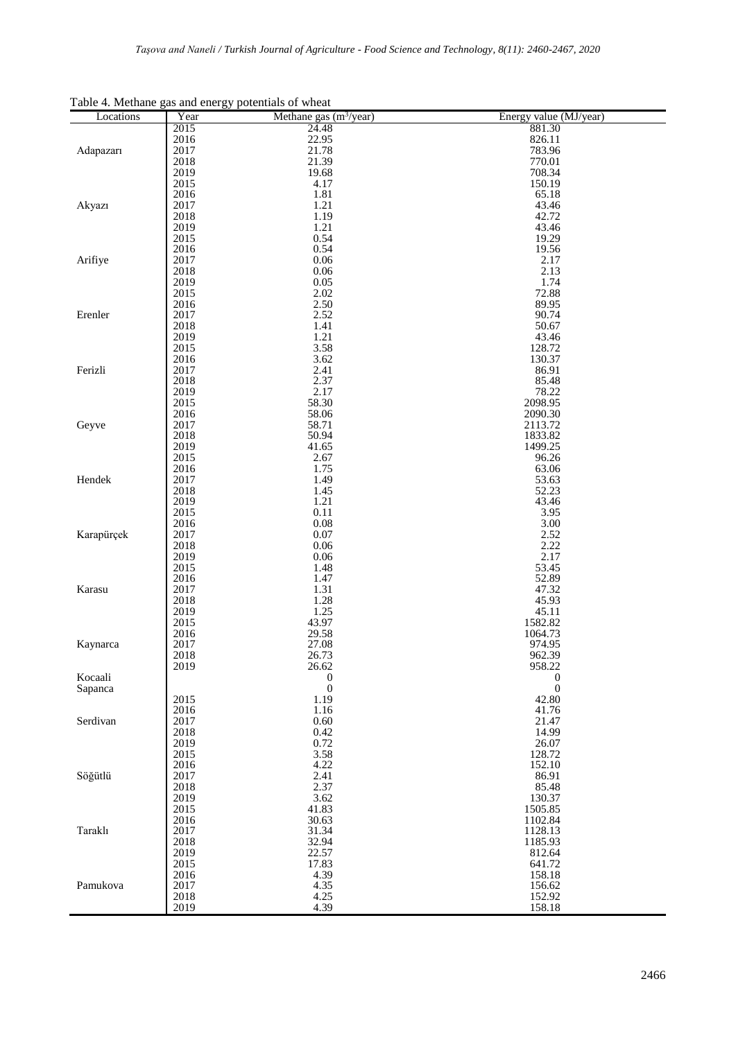| Locations  | Year         | radio 4. including gas and chergy potentials of wheat<br>Methane gas $(m^3$ /year) | Energy value (MJ/year) |
|------------|--------------|------------------------------------------------------------------------------------|------------------------|
|            | 2015         | 24.48                                                                              | 881.30                 |
| Adapazarı  | 2016         | 22.95                                                                              | 826.11                 |
|            | 2017         | 21.78                                                                              | 783.96                 |
|            | 2018         | 21.39                                                                              | 770.01                 |
|            | 2019         | 19.68<br>4.17                                                                      | 708.34                 |
|            | 2015<br>2016 | 1.81                                                                               | 150.19<br>65.18        |
| Akyazı     | 2017         | 1.21                                                                               | 43.46                  |
|            | 2018         | 1.19                                                                               | 42.72                  |
|            | 2019         | 1.21                                                                               | 43.46                  |
|            | 2015         | 0.54                                                                               | 19.29                  |
|            | 2016         | 0.54                                                                               | 19.56                  |
| Arifiye    | 2017         | 0.06                                                                               | 2.17                   |
|            | 2018         | 0.06                                                                               | 2.13                   |
|            | 2019         | 0.05                                                                               | 1.74                   |
|            | 2015         | 2.02                                                                               | 72.88                  |
|            | 2016         | 2.50                                                                               | 89.95                  |
| Erenler    | 2017<br>2018 | 2.52<br>1.41                                                                       | 90.74<br>50.67         |
|            | 2019         | 1.21                                                                               | 43.46                  |
|            | 2015         | 3.58                                                                               | 128.72                 |
|            | 2016         | 3.62                                                                               | 130.37                 |
| Ferizli    | 2017         | 2.41                                                                               | 86.91                  |
|            | 2018         | 2.37                                                                               | 85.48                  |
|            | 2019         | 2.17                                                                               | 78.22                  |
|            | 2015         | 58.30                                                                              | 2098.95                |
|            | 2016         | 58.06                                                                              | 2090.30                |
| Geyve      | 2017         | 58.71                                                                              | 2113.72                |
|            | 2018         | 50.94                                                                              | 1833.82                |
|            | 2019         | 41.65                                                                              | 1499.25                |
|            | 2015<br>2016 | 2.67<br>1.75                                                                       | 96.26<br>63.06         |
| Hendek     | 2017         | 1.49                                                                               | 53.63                  |
|            | 2018         | 1.45                                                                               | 52.23                  |
|            | 2019         | 1.21                                                                               | 43.46                  |
|            | 2015         | 0.11                                                                               | 3.95                   |
|            | 2016         | $0.08\,$                                                                           | 3.00                   |
| Karapürçek | 2017         | 0.07                                                                               | 2.52                   |
|            | 2018         | 0.06                                                                               | 2.22                   |
|            | 2019         | $0.06\,$                                                                           | 2.17                   |
|            | 2015         | 1.48                                                                               | 53.45                  |
|            | 2016         | 1.47                                                                               | 52.89                  |
| Karasu     | 2017         | 1.31                                                                               | 47.32                  |
|            | 2018<br>2019 | 1.28<br>1.25                                                                       | 45.93<br>45.11         |
|            | 2015         | 43.97                                                                              | 1582.82                |
|            | 2016         | 29.58                                                                              | 1064.73                |
| Kaynarca   | 2017         | 27.08                                                                              | 974.95                 |
|            | 2018         | 26.73                                                                              | 962.39                 |
|            | 2019         | 26.62                                                                              | 958.22                 |
| Kocaali    |              | $\boldsymbol{0}$                                                                   | $\boldsymbol{0}$       |
| Sapanca    |              | $\mathbf{0}$                                                                       | $\boldsymbol{0}$       |
|            | 2015         | 1.19                                                                               | 42.80                  |
|            | 2016         | 1.16                                                                               | 41.76                  |
| Serdivan   | 2017         | 0.60                                                                               | 21.47                  |
|            | 2018         | 0.42                                                                               | 14.99                  |
|            | 2019<br>2015 | 0.72<br>3.58                                                                       | 26.07<br>128.72        |
|            | 2016         | 4.22                                                                               | 152.10                 |
| Söğütlü    | 2017         | 2.41                                                                               | 86.91                  |
|            | 2018         | 2.37                                                                               | 85.48                  |
|            | 2019         | 3.62                                                                               | 130.37                 |
|            | 2015         | 41.83                                                                              | 1505.85                |
|            | 2016         | 30.63                                                                              | 1102.84                |
| Taraklı    | 2017         | 31.34                                                                              | 1128.13                |
|            | 2018         | 32.94                                                                              | 1185.93                |
|            | 2019         | 22.57                                                                              | 812.64                 |
|            | 2015         | 17.83                                                                              | 641.72                 |
|            | 2016         | 4.39                                                                               | 158.18                 |
| Pamukova   | 2017         | 4.35                                                                               | 156.62                 |
|            | 2018         | 4.25                                                                               | 152.92                 |
|            | 2019         | 4.39                                                                               | 158.18                 |

Table 4. Methane gas and energy potentials of wheat